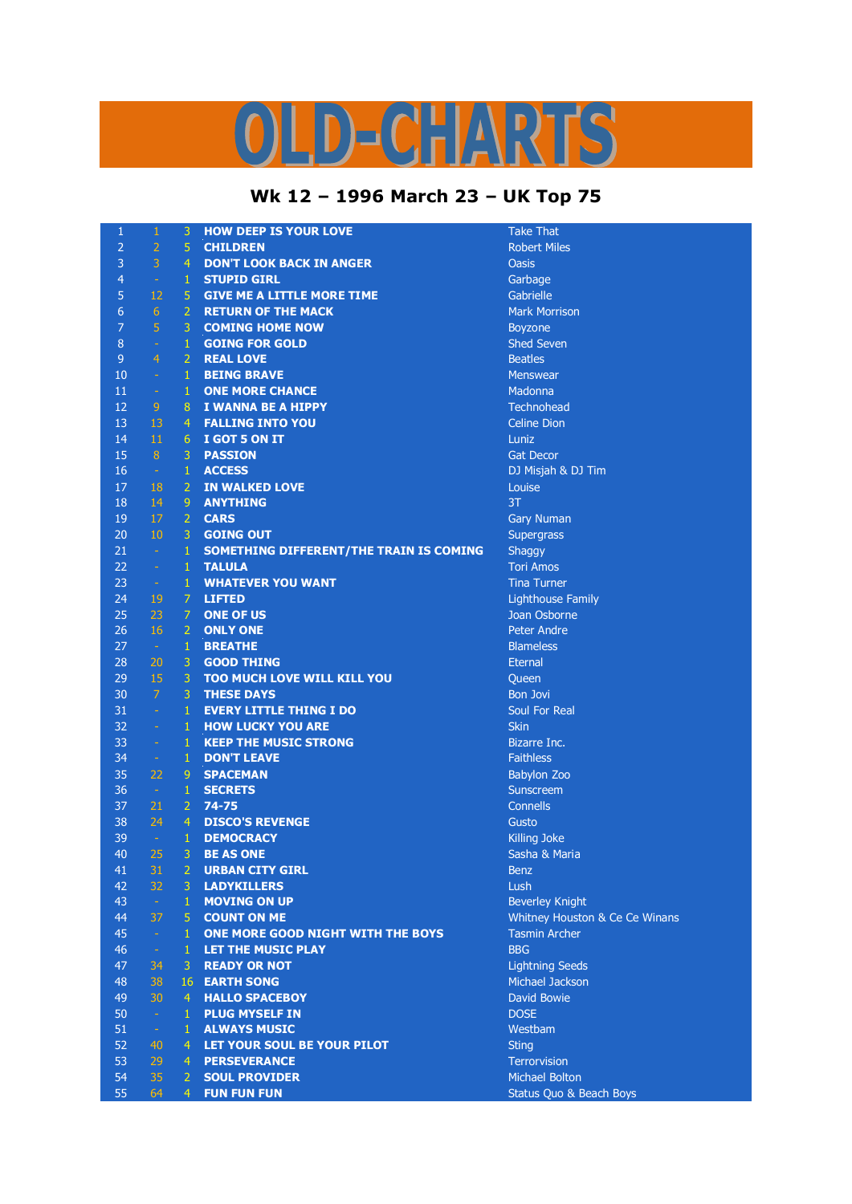## LD-CHARTS

## **Wk 12 – 1996 March 23 – UK Top 75**

| $\mathbf{1}$   | 1              | 3                            | <b>HOW DEEP IS YOUR LOVE</b>                       | <b>Take That</b>                   |
|----------------|----------------|------------------------------|----------------------------------------------------|------------------------------------|
| $\overline{2}$ | $\overline{2}$ | 5                            | <b>CHILDREN</b>                                    | <b>Robert Miles</b>                |
| 3              | 3              | $\overline{4}$               | <b>DON'T LOOK BACK IN ANGER</b>                    | <b>Oasis</b>                       |
| $\overline{4}$ | $\omega$       | $\mathbf{1}$                 | <b>STUPID GIRL</b>                                 | Garbage                            |
| 5              | 12             | 5                            | <b>GIVE ME A LITTLE MORE TIME</b>                  | Gabrielle                          |
| 6              | $6\phantom{1}$ | $\overline{2}$               | <b>RETURN OF THE MACK</b>                          | <b>Mark Morrison</b>               |
| 7              | 5              | 3                            | <b>COMING HOME NOW</b>                             | Boyzone                            |
| 8              | $\rightarrow$  | $\mathbf{1}$                 | <b>GOING FOR GOLD</b>                              | <b>Shed Seven</b>                  |
| 9              | $\overline{4}$ | $\overline{2}$               | <b>REAL LOVE</b>                                   | <b>Beatles</b>                     |
| 10             | $\omega$       | $\mathbf{1}$                 | <b>BEING BRAVE</b>                                 | <b>Menswear</b>                    |
| 11             | $\omega$       | $\mathbf{1}$                 | <b>ONE MORE CHANCE</b>                             | Madonna                            |
| 12             | 9              | 8                            | I WANNA BE A HIPPY                                 | <b>Technohead</b>                  |
| 13             | 13             | $\overline{4}$               | <b>FALLING INTO YOU</b>                            | <b>Celine Dion</b>                 |
| 14             | 11             | 6                            | I GOT 5 ON IT                                      | Luniz                              |
| 15             | $\sqrt{8}$     | 3                            | <b>PASSION</b>                                     | <b>Gat Decor</b>                   |
| 16             | $\sim$         | $\mathbf{1}$                 | <b>ACCESS</b>                                      | DJ Misjah & DJ Tim                 |
| 17             | 18             | $\overline{2}$               | <b>IN WALKED LOVE</b>                              | Louise                             |
| 18             | 14             | 9                            | <b>ANYTHING</b>                                    | 3T                                 |
| 19             | 17             | $\overline{2}$               | <b>CARS</b>                                        | <b>Gary Numan</b>                  |
| 20             | 10             | 3                            | <b>GOING OUT</b>                                   | Supergrass                         |
| 21             | $\sim$         | $\mathbf{1}$                 | SOMETHING DIFFERENT/THE TRAIN IS COMING            | Shaggy                             |
| 22             | $\omega$       | $\mathbf{1}$                 | <b>TALULA</b>                                      | <b>Tori Amos</b>                   |
| 23             | $\omega$       | $\mathbf{1}$                 | <b>WHATEVER YOU WANT</b>                           | <b>Tina Turner</b>                 |
| 24             | 19             | 7                            | <b>LIFTED</b>                                      | <b>Lighthouse Family</b>           |
| 25             | 23             | 7                            | <b>ONE OF US</b>                                   | Joan Osborne                       |
| 26             | 16             | $\overline{2}$               | <b>ONLY ONE</b>                                    | <b>Peter Andre</b>                 |
| 27             | $\sim$         | $\mathbf{1}$                 | <b>BREATHE</b>                                     | <b>Blameless</b>                   |
| 28             | 20             | $\mathbf{3}$                 | <b>GOOD THING</b>                                  | Eternal                            |
| 29             | 15             | $\overline{3}$               | <b>TOO MUCH LOVE WILL KILL YOU</b>                 |                                    |
| 30             | $\overline{7}$ | 3                            | <b>THESE DAYS</b>                                  | Queen<br><b>Bon Jovi</b>           |
| 31             | $\sim$         | $\mathbf{1}$                 | <b>EVERY LITTLE THING I DO</b>                     | Soul For Real                      |
| 32             | $\rightarrow$  | $\mathbf{1}$                 | <b>HOW LUCKY YOU ARE</b>                           | <b>Skin</b>                        |
| 33             |                |                              |                                                    |                                    |
| 34             | $\omega$       | $\mathbf{1}$<br>$\mathbf{1}$ | <b>KEEP THE MUSIC STRONG</b><br><b>DON'T LEAVE</b> | Bizarre Inc.<br><b>Faithless</b>   |
| 35             | $\sim$<br>22   | 9                            |                                                    |                                    |
| 36             |                | $\mathbf{1}$                 | <b>SPACEMAN</b>                                    | <b>Babylon Zoo</b>                 |
|                | $\sim$         |                              | <b>SECRETS</b>                                     | Sunscreem                          |
| 37             | 21             | 2 <sup>1</sup>               | $74 - 75$                                          | Connells                           |
| 38             | 24             | $\overline{4}$               | <b>DISCO'S REVENGE</b>                             | Gusto                              |
| 39             | $\omega$       | 1                            | <b>DEMOCRACY</b>                                   | Killing Joke                       |
| 40             | 25             | 3                            | <b>BE AS ONE</b>                                   | Sasha & Maria                      |
| 41             | 31             | 2                            | <b>URBAN CITY GIRL</b>                             | <b>Benz</b>                        |
| 42             | 32             | 3                            | <b>LADYKILLERS</b>                                 | Lush                               |
| 43             | $\omega$       | $\mathbf{1}$                 | <b>MOVING ON UP</b>                                | <b>Beverley Knight</b>             |
| 44             | 37             | 5                            | <b>COUNT ON ME</b>                                 | Whitney Houston & Ce Ce Winans     |
| 45             | $\omega$       | $\mathbf{1}$                 | ONE MORE GOOD NIGHT WITH THE BOYS                  | <b>Tasmin Archer</b>               |
| 46             | $\omega$       | $\mathbf{1}$                 | <b>LET THE MUSIC PLAY</b>                          | <b>BBG</b>                         |
| 47             | 34             | 3                            | <b>READY OR NOT</b>                                | <b>Lightning Seeds</b>             |
| 48             | 38             | 16                           | <b>EARTH SONG</b>                                  | Michael Jackson                    |
| 49             | 30             | 4                            | <b>HALLO SPACEBOY</b>                              | <b>David Bowie</b>                 |
| 50             | $\omega$       | 1                            | <b>PLUG MYSELF IN</b>                              | <b>DOSE</b>                        |
| 51             | $\rightarrow$  | $\mathbf{1}$                 | <b>ALWAYS MUSIC</b>                                | Westbam                            |
| 52             | 40             | 4                            | LET YOUR SOUL BE YOUR PILOT                        | <b>Sting</b>                       |
| 53             | 29             | 4                            | <b>PERSEVERANCE</b>                                | Terrorvision                       |
| 54             | 35             | $\mathbf{2}^{\circ}$         | <b>SOUL PROVIDER</b>                               | <b>Michael Bolton</b>              |
| 55             | 64             | 4                            | <b>FUN FUN FUN</b>                                 | <b>Status Quo &amp; Beach Boys</b> |